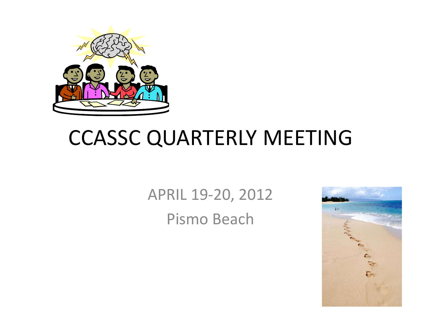

### CCASSC QUARTERLY MEETING

APRIL 19‐20, 2012 Pismo Beach

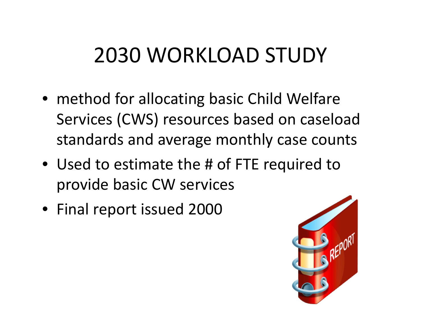# 2030 WORKLOAD STUDY

- method for allocating basic Child Welfare Services (CWS) resources based on caseload standards and average monthly case counts
- Used to estimate the # of FTE required to provide basic CW services
- Final report issued 2000

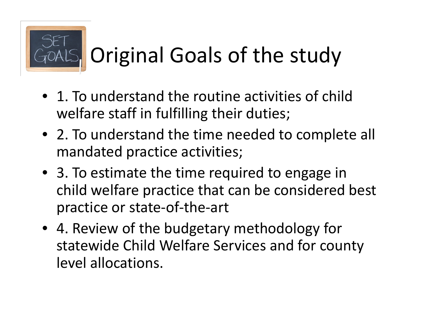

# GOALS, Original Goals of the study

- 1. To understand the routine activities of child welfare staff in fulfilling their duties;
- 2. To understand the time needed to complete all mandated practice activities;
- 3. To estimate the time required to engage in child welfare practice that can be considered best practice or state‐of‐the‐art
- 4. Review of the budgetary methodology for statewide Child Welfare Services and for county level allocations.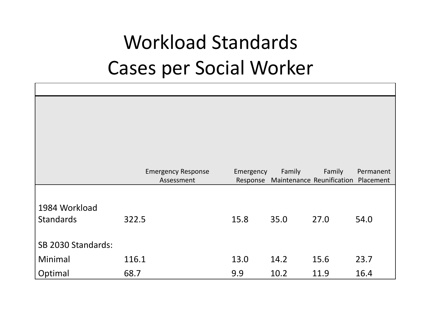### Workload Standards Cases per Social Worker

|                    | <b>Emergency Response</b><br>Assessment | Emergency<br>Response | Family | Family<br>Maintenance Reunification Placement | Permanent |
|--------------------|-----------------------------------------|-----------------------|--------|-----------------------------------------------|-----------|
|                    |                                         |                       |        |                                               |           |
| 1984 Workload      |                                         |                       |        |                                               |           |
| <b>Standards</b>   | 322.5                                   | 15.8                  | 35.0   | 27.0                                          | 54.0      |
|                    |                                         |                       |        |                                               |           |
| SB 2030 Standards: |                                         |                       |        |                                               |           |
|                    |                                         |                       |        |                                               |           |
| Minimal            | 116.1                                   | 13.0                  | 14.2   | 15.6                                          | 23.7      |
| Optimal            | 68.7                                    | 9.9                   | 10.2   | 11.9                                          | 16.4      |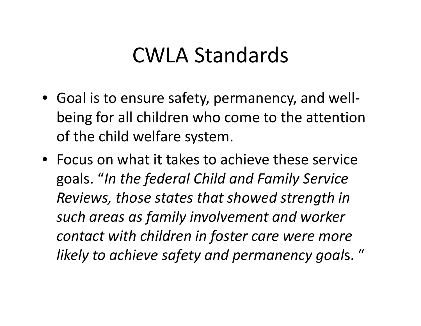#### CWLA Standards

- Goal is to ensure safety, permanency, and well‐ being for all children who come to the attention of the child welfare system.
- Focus on what it takes to achieve these service goals. "*In the federal Child and Family Service Reviews, those states that showed strength in such areas as family involvement and worker contact with children in foster care were more likely to achieve safety and permanency goal*s. "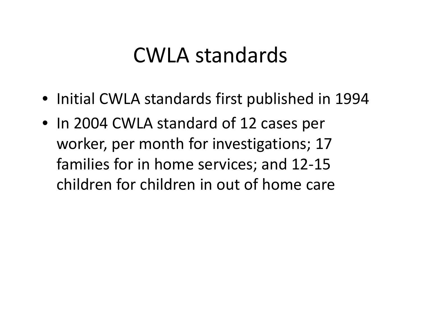#### CWLA standards

- Initial CWLA standards first published in 1994
- In 2004 CWLA standard of 12 cases per worker, per month for investigations; 17 families for in home services; and 12‐15 children for children in out of home care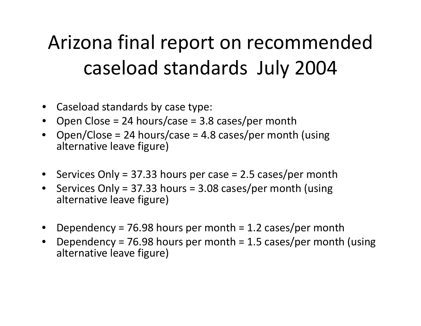# Arizona final report on recommended caseload standards July 2004

- Caseload standards by case type:
- Open Close <sup>=</sup> 24 hours/case <sup>=</sup> 3.8 cases/per month
- • Open/Close <sup>=</sup> 24 hours/case <sup>=</sup> 4.8 cases/per month (using alternative leave figure)
- Services Only <sup>=</sup> 37.33 hours per case <sup>=</sup> 2.5 cases/per month
- •• Services Only = 37.33 hours = 3.08 cases/per month (using alternative leave figure)
- Dependency <sup>=</sup> 76.98 hours per month <sup>=</sup> 1.2 cases/per month
- • Dependency <sup>=</sup> 76.98 hours per month <sup>=</sup> 1.5 cases/per month (using alternative leave figure)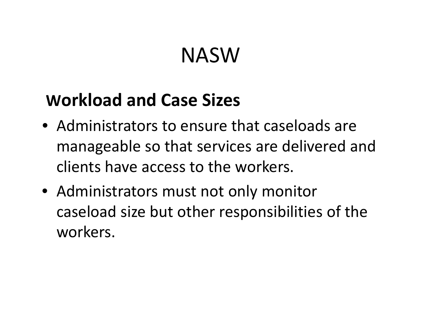# NASW

#### **Workload and Case Sizes**

- Administrators to ensure that caseloads are manageable so that services are delivered and clients have access to the workers.
- Administrators must not only monitor caseload size but other responsibilities of the workers.